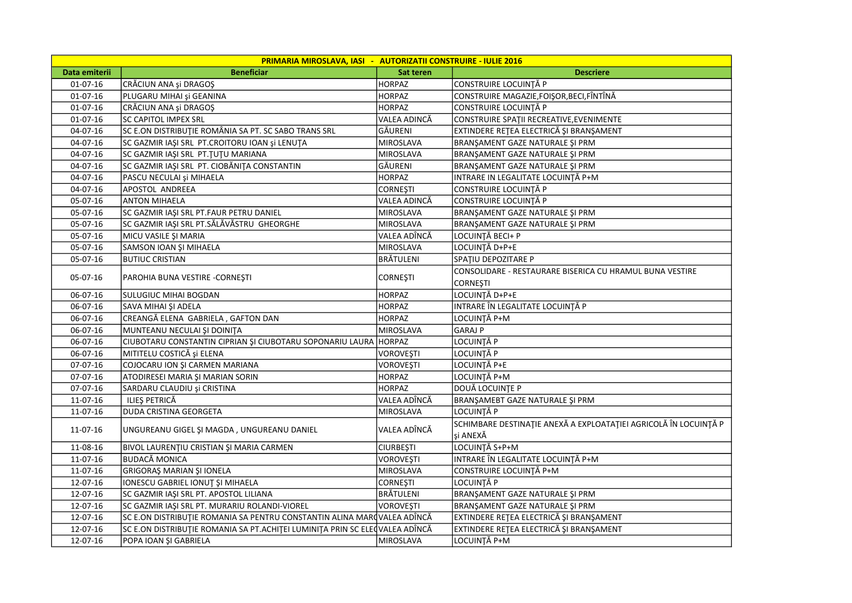| <b>PRIMARIA MIROSLAVA, IASI - AUTORIZATII CONSTRUIRE - IULIE 2016</b> |                                                                              |                  |                                                                              |  |
|-----------------------------------------------------------------------|------------------------------------------------------------------------------|------------------|------------------------------------------------------------------------------|--|
| Data emiterii                                                         | <b>Beneficiar</b>                                                            | Sat teren        | <b>Descriere</b>                                                             |  |
| $01-07-16$                                                            | CRĂCIUN ANA și DRAGOȘ                                                        | <b>HORPAZ</b>    | CONSTRUIRE LOCUINȚĂ P                                                        |  |
| $01-07-16$                                                            | PLUGARU MIHAI și GEANINA                                                     | <b>HORPAZ</b>    | CONSTRUIRE MAGAZIE, FOISOR, BECI, FÎNTÎNĂ                                    |  |
| $01 - 07 - 16$                                                        | CRĂCIUN ANA și DRAGOȘ                                                        | <b>HORPAZ</b>    | CONSTRUIRE LOCUINȚĂ P                                                        |  |
| $01 - 07 - 16$                                                        | SC CAPITOL IMPEX SRL                                                         | VALEA ADINCĂ     | CONSTRUIRE SPAȚII RECREATIVE, EVENIMENTE                                     |  |
| 04-07-16                                                              | SC E.ON DISTRIBUTIE ROMÂNIA SA PT. SC SABO TRANS SRL                         | GĂURENI          | EXTINDERE RETEA ELECTRICĂ ȘI BRANȘAMENT                                      |  |
| 04-07-16                                                              | SC GAZMIR IAȘI SRL PT.CROITORU IOAN și LENUȚA                                | MIROSLAVA        | BRANŞAMENT GAZE NATURALE ŞI PRM                                              |  |
| 04-07-16                                                              | SC GAZMIR IAŞI SRL PT. TUTU MARIANA                                          | MIROSLAVA        | BRANŞAMENT GAZE NATURALE ŞI PRM                                              |  |
| 04-07-16                                                              | SC GAZMIR IAȘI SRL PT. CIOBĂNIȚA CONSTANTIN                                  | GĂURENI          | BRANŞAMENT GAZE NATURALE ŞI PRM                                              |  |
| 04-07-16                                                              | PASCU NECULAI și MIHAELA                                                     | <b>HORPAZ</b>    | INTRARE IN LEGALITATE LOCUINȚĂ P+M                                           |  |
| 04-07-16                                                              | APOSTOL ANDREEA                                                              | <b>CORNEŞTI</b>  | CONSTRUIRE LOCUINȚĂ P                                                        |  |
| 05-07-16                                                              | <b>ANTON MIHAELA</b>                                                         | VALEA ADINCĂ     | CONSTRUIRE LOCUINȚĂ P                                                        |  |
| 05-07-16                                                              | SC GAZMIR IAŞI SRL PT.FAUR PETRU DANIEL                                      | MIROSLAVA        | BRANŞAMENT GAZE NATURALE ŞI PRM                                              |  |
| 05-07-16                                                              | SC GAZMIR IAȘI SRL PT.SĂLĂVĂSTRU GHEORGHE                                    | <b>MIROSLAVA</b> | BRANŞAMENT GAZE NATURALE ŞI PRM                                              |  |
| 05-07-16                                                              | MICU VASILE ȘI MARIA                                                         | VALEA ADÎNCĂ     | LOCUINȚĂ BECI+ P                                                             |  |
| 05-07-16                                                              | SAMSON IOAN ȘI MIHAELA                                                       | MIROSLAVA        | LOCUINȚĂ D+P+E                                                               |  |
| 05-07-16                                                              | <b>BUTIUC CRISTIAN</b>                                                       | BRÄTULENI        | SPATIU DEPOZITARE P                                                          |  |
|                                                                       |                                                                              |                  | CONSOLIDARE - RESTAURARE BISERICA CU HRAMUL BUNA VESTIRE                     |  |
| 05-07-16                                                              | PAROHIA BUNA VESTIRE -CORNESTI                                               | <b>CORNESTI</b>  | <b>CORNESTI</b>                                                              |  |
| 06-07-16                                                              | SULUGIUC MIHAI BOGDAN                                                        | <b>HORPAZ</b>    | LOCUINȚĂ D+P+E                                                               |  |
| 06-07-16                                                              | SAVA MIHAI ȘI ADELA                                                          | <b>HORPAZ</b>    | INTRARE ÎN LEGALITATE LOCUINȚĂ P                                             |  |
| 06-07-16                                                              | CREANGĂ ELENA GABRIELA, GAFTON DAN                                           | <b>HORPAZ</b>    | LOCUINȚĂ P+M                                                                 |  |
| 06-07-16                                                              | MUNTEANU NECULAI ȘI DOINIȚA                                                  | <b>MIROSLAVA</b> | GARAJ P                                                                      |  |
| 06-07-16                                                              | CIUBOTARU CONSTANTIN CIPRIAN ȘI CIUBOTARU SOPONARIU LAURA HORPAZ             |                  | LOCUINȚĂ P                                                                   |  |
| 06-07-16                                                              | MITITELU COSTICĂ și ELENA                                                    | <b>VOROVEŞTI</b> | LOCUINȚĂ P                                                                   |  |
| 07-07-16                                                              | COJOCARU ION ȘI CARMEN MARIANA                                               | <b>VOROVEŞTI</b> | LOCUINȚĂ P+E                                                                 |  |
| 07-07-16                                                              | ATODIRESEI MARIA ȘI MARIAN SORIN                                             | <b>HORPAZ</b>    | LOCUINȚĂ P+M                                                                 |  |
| 07-07-16                                                              | SARDARU CLAUDIU și CRISTINA                                                  | <b>HORPAZ</b>    | DOUĂ LOCUINȚE P                                                              |  |
| 11-07-16                                                              | ILIES PETRICĂ                                                                | VALEA ADÎNCĂ     | BRANŞAMEBT GAZE NATURALE ŞI PRM                                              |  |
| 11-07-16                                                              | <b>DUDA CRISTINA GEORGETA</b>                                                | <b>MIROSLAVA</b> | LOCUINȚĂ P                                                                   |  |
| 11-07-16                                                              | UNGUREANU GIGEL ȘI MAGDA, UNGUREANU DANIEL                                   | VALEA ADÎNCĂ     | SCHIMBARE DESTINAȚIE ANEXĂ A EXPLOATAȚIEI AGRICOLĂ ÎN LOCUINȚĂ P<br>și ANEXĂ |  |
| 11-08-16                                                              | BIVOL LAURENȚIU CRISTIAN ȘI MARIA CARMEN                                     | <b>CIURBEȘTI</b> | LOCUINȚĂ S+P+M                                                               |  |
| 11-07-16                                                              | <b>BUDACĂ MONICA</b>                                                         | <b>VOROVESTI</b> | INTRARE ÎN LEGALITATE LOCUINȚĂ P+M                                           |  |
| 11-07-16                                                              | GRIGORAȘ MARIAN ȘI IONELA                                                    | <b>MIROSLAVA</b> | CONSTRUIRE LOCUINȚĂ P+M                                                      |  |
| 12-07-16                                                              | IONESCU GABRIEL IONUȚ ȘI MIHAELA                                             | <b>CORNESTI</b>  | LOCUINȚĂ P                                                                   |  |
| 12-07-16                                                              | SC GAZMIR IAŞI SRL PT. APOSTOL LILIANA                                       | <b>BRÄTULENI</b> | BRANŞAMENT GAZE NATURALE ŞI PRM                                              |  |
| 12-07-16                                                              | SC GAZMIR IAŞI SRL PT. MURARIU ROLANDI-VIOREL                                | <b>VOROVESTI</b> | BRANŞAMENT GAZE NATURALE ŞI PRM                                              |  |
| 12-07-16                                                              | SC E.ON DISTRIBUȚIE ROMANIA SA PENTRU CONSTANTIN ALINA MARQ VALEA ADÎNCĂ     |                  | EXTINDERE REȚEA ELECTRICĂ ȘI BRANȘAMENT                                      |  |
| 12-07-16                                                              | SC E.ON DISTRIBUȚIE ROMANIA SA PT.ACHIȚEI LUMINIȚA PRIN SC ELEQ VALEA ADÎNCĂ |                  | EXTINDERE REȚEA ELECTRICĂ ȘI BRANȘAMENT                                      |  |
| 12-07-16                                                              | POPA IOAN SI GABRIELA                                                        | MIROSLAVA        | LOCUINȚĂ P+M                                                                 |  |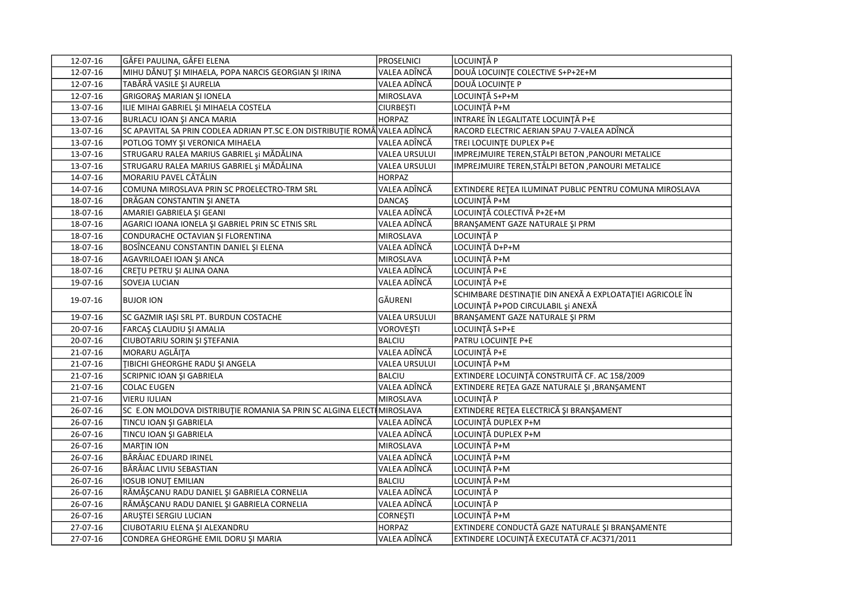| 12-07-16       | GÂFEI PAULINA, GÂFEI ELENA                                                 | <b>PROSELNICI</b>    | LOCUINȚĂ P                                                |
|----------------|----------------------------------------------------------------------------|----------------------|-----------------------------------------------------------|
| 12-07-16       | MIHU DĂNUȚ ȘI MIHAELA, POPA NARCIS GEORGIAN ȘI IRINA                       | VALEA ADÎNCĂ         | DOUĂ LOCUINȚE COLECTIVE S+P+2E+M                          |
| 12-07-16       | TABĂRĂ VASILE ȘI AURELIA                                                   | VALEA ADÎNCĂ         | <b>DOUĂ LOCUINȚE P</b>                                    |
| 12-07-16       | <b>GRIGORAȘ MARIAN ȘI IONELA</b>                                           | MIROSLAVA            | LOCUINȚĂ S+P+M                                            |
| 13-07-16       | ILIE MIHAI GABRIEL ȘI MIHAELA COSTELA                                      | <b>CIURBEȘTI</b>     | LOCUINȚĂ P+M                                              |
| 13-07-16       | BURLACU IOAN ȘI ANCA MARIA                                                 | <b>HORPAZ</b>        | INTRARE ÎN LEGALITATE LOCUINȚĂ P+E                        |
| 13-07-16       | SC APAVITAL SA PRIN CODLEA ADRIAN PT.SC E.ON DISTRIBUȚIE ROMÂ VALEA ADÎNCĂ |                      | RACORD ELECTRIC AERIAN SPAU 7-VALEA ADÎNCĂ                |
| 13-07-16       | POTLOG TOMY ȘI VERONICA MIHAELA                                            | VALEA ADÎNCĂ         | TREI LOCUINȚE DUPLEX P+E                                  |
| 13-07-16       | STRUGARU RALEA MARIUS GABRIEL și MĂDĂLINA                                  | <b>VALEA URSULUI</b> | IMPREJMUIRE TEREN, STÂLPI BETON, PANOURI METALICE         |
| 13-07-16       | STRUGARU RALEA MARIUS GABRIEL și MĂDĂLINA                                  | <b>VALEA URSULUI</b> | IMPREJMUIRE TEREN, STÂLPI BETON, PANOURI METALICE         |
| 14-07-16       | MORARIU PAVEL CĂTĂLIN                                                      | <b>HORPAZ</b>        |                                                           |
| 14-07-16       | COMUNA MIROSLAVA PRIN SC PROELECTRO-TRM SRL                                | VALEA ADÎNCĂ         | EXTINDERE RETEA ILUMINAT PUBLIC PENTRU COMUNA MIROSLAVA   |
| 18-07-16       | DRĂGAN CONSTANTIN ȘI ANETA                                                 | <b>DANCAS</b>        | LOCUINȚĂ P+M                                              |
| 18-07-16       | AMARIEI GABRIELA ȘI GEANI                                                  | VALEA ADÎNCĂ         | LOCUINȚĂ COLECTIVĂ P+2E+M                                 |
| 18-07-16       | AGARICI IOANA IONELA ȘI GABRIEL PRIN SC ETNIS SRL                          | VALEA ADÎNCĂ         | BRANŞAMENT GAZE NATURALE ŞI PRM                           |
| 18-07-16       | CONDURACHE OCTAVIAN ȘI FLORENTINA                                          | MIROSLAVA            | LOCUINȚĂ P                                                |
| 18-07-16       | BOSÎNCEANU CONSTANTIN DANIEL ȘI ELENA                                      | VALEA ADÎNCĂ         | LOCUINȚĂ D+P+M                                            |
| 18-07-16       | AGAVRILOAEI IOAN ȘI ANCA                                                   | MIROSLAVA            | LOCUINȚĂ P+M                                              |
| 18-07-16       | CRETU PETRU ȘI ALINA OANA                                                  | VALEA ADÎNCĂ         | LOCUINȚĂ P+E                                              |
| 19-07-16       | <b>SOVEJA LUCIAN</b>                                                       | VALEA ADÎNCĂ         | LOCUINȚĂ P+E                                              |
|                |                                                                            | GĂURENI              | SCHIMBARE DESTINAȚIE DIN ANEXĂ A EXPLOATAȚIEI AGRICOLE ÎN |
| 19-07-16       | <b>BUJOR ION</b>                                                           |                      | LOCUINȚĂ P+POD CIRCULABIL și ANEXĂ                        |
| 19-07-16       | SC GAZMIR IAŞI SRL PT. BURDUN COSTACHE                                     | <b>VALEA URSULUI</b> | BRANŞAMENT GAZE NATURALE ŞI PRM                           |
| 20-07-16       | FARCAŞ CLAUDIU ŞI AMALIA                                                   | VOROVEŞTI            | LOCUINȚĂ S+P+E                                            |
| 20-07-16       | CIUBOTARIU SORIN ȘI ȘTEFANIA                                               | <b>BALCIU</b>        | PATRU LOCUINTE P+E                                        |
| 21-07-16       | MORARU AGLĂIȚA                                                             | VALEA ADÎNCĂ         | LOCUINȚĂ P+E                                              |
| 21-07-16       | <b>TIBICHI GHEORGHE RADU ȘI ANGELA</b>                                     | <b>VALEA URSULUI</b> | LOCUINȚĂ P+M                                              |
| 21-07-16       | SCRIPNIC IOAN ȘI GABRIELA                                                  | <b>BALCIU</b>        | EXTINDERE LOCUINȚĂ CONSTRUITĂ CF. AC 158/2009             |
| 21-07-16       | COLAC EUGEN                                                                | VALEA ADÎNCĂ         | EXTINDERE RETEA GAZE NATURALE ȘI , BRANȘAMENT             |
| 21-07-16       | <b>VIERU IULIAN</b>                                                        | <b>MIROSLAVA</b>     | LOCUINȚĂ P                                                |
| 26-07-16       | SC E.ON MOLDOVA DISTRIBUȚIE ROMANIA SA PRIN SC ALGINA ELECTI MIROSLAVA     |                      | EXTINDERE REȚEA ELECTRICĂ ȘI BRANȘAMENT                   |
| $26 - 07 - 16$ | TINCU IOAN ȘI GABRIELA                                                     | VALEA ADÎNCĂ         | LOCUINȚĂ DUPLEX P+M                                       |
| 26-07-16       | TINCU IOAN ȘI GABRIELA                                                     | VALEA ADÎNCĂ         | LOCUINȚĂ DUPLEX P+M                                       |
| 26-07-16       | MARTIN ION                                                                 | MIROSLAVA            | LOCUINȚĂ P+M                                              |
| 26-07-16       | BÂRÂIAC EDUARD IRINEL                                                      | VALEA ADÎNCĂ         | LOCUINȚĂ P+M                                              |
| 26-07-16       | BÂRÂIAC LIVIU SEBASTIAN                                                    | VALEA ADÎNCĂ         | LOCUINȚĂ P+M                                              |
| 26-07-16       | IOSUB IONUT EMILIAN                                                        | <b>BALCIU</b>        | LOCUINȚĂ P+M                                              |
| 26-07-16       | RĂMĂȘCANU RADU DANIEL ȘI GABRIELA CORNELIA                                 | VALEA ADÎNCĂ         | LOCUINȚĂ P                                                |
| 26-07-16       | RĂMĂȘCANU RADU DANIEL ȘI GABRIELA CORNELIA                                 | VALEA ADÎNCĂ         | LOCUINȚĂ P                                                |
| 26-07-16       | ARUŞTEI SERGIU LUCIAN                                                      | <b>CORNEȘTI</b>      | LOCUINȚĂ P+M                                              |
| 27-07-16       | CIUBOTARIU ELENA ȘI ALEXANDRU                                              | <b>HORPAZ</b>        | EXTINDERE CONDUCTĂ GAZE NATURALE ȘI BRANȘAMENTE           |
| 27-07-16       | CONDREA GHEORGHE EMIL DORU ȘI MARIA                                        | VALEA ADÎNCĂ         | EXTINDERE LOCUINȚĂ EXECUTATĂ CF.AC371/2011                |